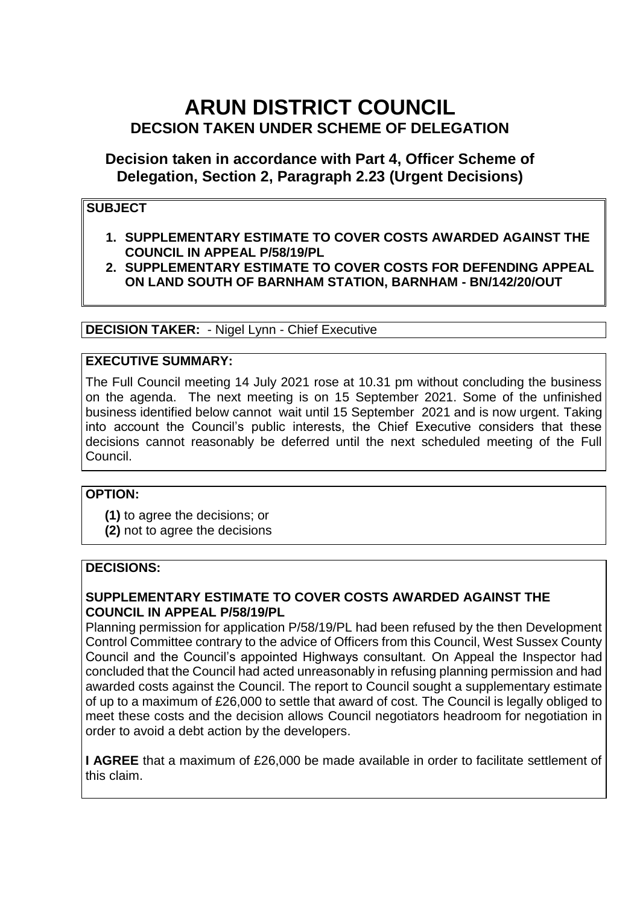# **ARUN DISTRICT COUNCIL DECSION TAKEN UNDER SCHEME OF DELEGATION**

**Decision taken in accordance with Part 4, Officer Scheme of Delegation, Section 2, Paragraph 2.23 (Urgent Decisions)** 

# **SUBJECT**

- **1. SUPPLEMENTARY ESTIMATE TO COVER COSTS AWARDED AGAINST THE COUNCIL IN APPEAL P/58/19/PL**
- **2. SUPPLEMENTARY ESTIMATE TO COVER COSTS FOR DEFENDING APPEAL ON LAND SOUTH OF BARNHAM STATION, BARNHAM - BN/142/20/OUT**

**DECISION TAKER:** - Nigel Lynn - Chief Executive

## **EXECUTIVE SUMMARY:**

The Full Council meeting 14 July 2021 rose at 10.31 pm without concluding the business on the agenda. The next meeting is on 15 September 2021. Some of the unfinished business identified below cannot wait until 15 September 2021 and is now urgent. Taking into account the Council's public interests, the Chief Executive considers that these decisions cannot reasonably be deferred until the next scheduled meeting of the Full Council.

#### **OPTION:**

**(1)** to agree the decisions; or **(2)** not to agree the decisions

#### **DECISIONS:**

### **SUPPLEMENTARY ESTIMATE TO COVER COSTS AWARDED AGAINST THE COUNCIL IN APPEAL P/58/19/PL**

Planning permission for application P/58/19/PL had been refused by the then Development Control Committee contrary to the advice of Officers from this Council, West Sussex County Council and the Council's appointed Highways consultant. On Appeal the Inspector had concluded that the Council had acted unreasonably in refusing planning permission and had awarded costs against the Council. The report to Council sought a supplementary estimate of up to a maximum of £26,000 to settle that award of cost. The Council is legally obliged to meet these costs and the decision allows Council negotiators headroom for negotiation in order to avoid a debt action by the developers.

**I AGREE** that a maximum of £26,000 be made available in order to facilitate settlement of this claim.